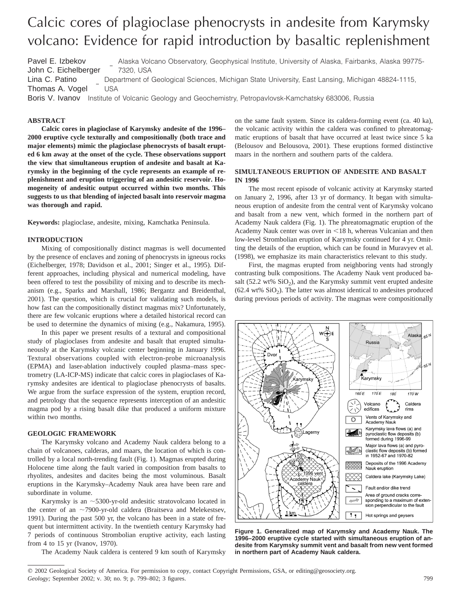# Calcic cores of plagioclase phenocrysts in andesite from Karymsky volcano: Evidence for rapid introduction by basaltic replenishment

Pavel E. Izbekov John C. Eichelberger I J Alaska Volcano Observatory, Geophysical Institute, University of Alaska, Fairbanks, Alaska 99775- 7320, USA Lina C. Patino Thomas A. Vogel I  $\overline{\phantom{a}}$ J Department of Geological Sciences, Michigan State University, East Lansing, Michigan 48824-1115, USA

Boris V. Ivanov Institute of Volcanic Geology and Geochemistry, Petropavlovsk-Kamchatsky 683006, Russia

# **ABSTRACT**

**Calcic cores in plagioclase of Karymsky andesite of the 1996– 2000 eruptive cycle texturally and compositionally (both trace and major elements) mimic the plagioclase phenocrysts of basalt erupted 6 km away at the onset of the cycle. These observations support the view that simultaneous eruption of andesite and basalt at Karymsky in the beginning of the cycle represents an example of replenishment and eruption triggering of an andesitic reservoir. Homogeneity of andesitic output occurred within two months. This suggests to us that blending of injected basalt into reservoir magma was thorough and rapid.**

**Keywords:** plagioclase, andesite, mixing, Kamchatka Peninsula.

# **INTRODUCTION**

Mixing of compositionally distinct magmas is well documented by the presence of enclaves and zoning of phenocrysts in igneous rocks (Eichelberger, 1978; Davidson et al., 2001; Singer et al., 1995). Different approaches, including physical and numerical modeling, have been offered to test the possibility of mixing and to describe its mechanism (e.g., Sparks and Marshall, 1986; Bergantz and Breidenthal, 2001). The question, which is crucial for validating such models, is how fast can the compositionally distinct magmas mix? Unfortunately, there are few volcanic eruptions where a detailed historical record can be used to determine the dynamics of mixing (e.g., Nakamura, 1995).

In this paper we present results of a textural and compositional study of plagioclases from andesite and basalt that erupted simultaneously at the Karymsky volcanic center beginning in January 1996. Textural observations coupled with electron-probe microanalysis (EPMA) and laser-ablation inductively coupled plasma–mass spectrometry (LA-ICP-MS) indicate that calcic cores in plagioclases of Karymsky andesites are identical to plagioclase phenocrysts of basalts. We argue from the surface expression of the system, eruption record, and petrology that the sequence represents interception of an andesitic magma pod by a rising basalt dike that produced a uniform mixture within two months.

## **GEOLOGIC FRAMEWORK**

The Karymsky volcano and Academy Nauk caldera belong to a chain of volcanoes, calderas, and maars, the location of which is controlled by a local north-trending fault (Fig. 1). Magmas erupted during Holocene time along the fault varied in composition from basalts to rhyolites, andesites and dacites being the most voluminous. Basalt eruptions in the Karymsky–Academy Nauk area have been rare and subordinate in volume.

Karymsky is an  $\sim$ 5300-yr-old andesitic stratovolcano located in the center of an  $\sim$ 7900-yr-old caldera (Braitseva and Melekestsev, 1991). During the past 500 yr, the volcano has been in a state of frequent but intermittent activity. In the twentieth century Karymsky had 7 periods of continuous Strombolian eruptive activity, each lasting from 4 to 15 yr (Ivanov, 1970).

The Academy Nauk caldera is centered 9 km south of Karymsky

on the same fault system. Since its caldera-forming event (ca. 40 ka), the volcanic activity within the caldera was confined to phreatomagmatic eruptions of basalt that have occurred at least twice since 5 ka (Belousov and Belousova, 2001). These eruptions formed distinctive maars in the northern and southern parts of the caldera.

## **SIMULTANEOUS ERUPTION OF ANDESITE AND BASALT IN 1996**

The most recent episode of volcanic activity at Karymsky started on January 2, 1996, after 13 yr of dormancy. It began with simultaneous eruption of andesite from the central vent of Karymsky volcano and basalt from a new vent, which formed in the northern part of Academy Nauk caldera (Fig. 1). The phreatomagmatic eruption of the Academy Nauk center was over in  $\leq 18$  h, whereas Vulcanian and then low-level Strombolian eruption of Karymsky continued for 4 yr. Omitting the details of the eruption, which can be found in Muravyev et al. (1998), we emphasize its main characteristics relevant to this study.

First, the magmas erupted from neighboring vents had strongly contrasting bulk compositions. The Academy Nauk vent produced basalt (52.2 wt%  $SiO<sub>2</sub>$ ), and the Karymsky summit vent erupted andesite  $(62.4 \text{ wt\% SiO}_2)$ . The latter was almost identical to andesites produced during previous periods of activity. The magmas were compositionally



**Figure 1. Generalized map of Karymsky and Academy Nauk. The 1996–2000 eruptive cycle started with simultaneous eruption of andesite from Karymsky summit vent and basalt from new vent formed in northern part of Academy Nauk caldera.**

 $@$  2002 Geological Society of America. For permission to copy, contact Copyright Permissions, GSA, or editing@geosociety.org. *Geology;* September 2002; v. 30; no. 9; p. 799–802; 3 figures. 799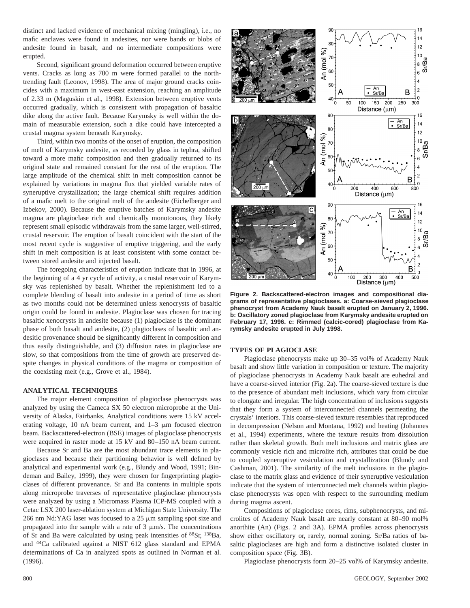distinct and lacked evidence of mechanical mixing (mingling), i.e., no mafic enclaves were found in andesites, nor were bands or blobs of andesite found in basalt, and no intermediate compositions were erupted.

Second, significant ground deformation occurred between eruptive vents. Cracks as long as 700 m were formed parallel to the northtrending fault (Leonov, 1998). The area of major ground cracks coincides with a maximum in west-east extension, reaching an amplitude of 2.33 m (Maguskin et al., 1998). Extension between eruptive vents occurred gradually, which is consistent with propagation of basaltic dike along the active fault. Because Karymsky is well within the domain of measurable extension, such a dike could have intercepted a crustal magma system beneath Karymsky.

Third, within two months of the onset of eruption, the composition of melt of Karymsky andesite, as recorded by glass in tephra, shifted toward a more mafic composition and then gradually returned to its original state and remained constant for the rest of the eruption. The large amplitude of the chemical shift in melt composition cannot be explained by variations in magma flux that yielded variable rates of syneruptive crystallization; the large chemical shift requires addition of a mafic melt to the original melt of the andesite (Eichelberger and Izbekov, 2000). Because the eruptive batches of Karymsky andesite magma are plagioclase rich and chemically monotonous, they likely represent small episodic withdrawals from the same larger, well-stirred, crustal reservoir. The eruption of basalt coincident with the start of the most recent cycle is suggestive of eruptive triggering, and the early shift in melt composition is at least consistent with some contact between stored andesite and injected basalt.

The foregoing characteristics of eruption indicate that in 1996, at the beginning of a 4 yr cycle of activity, a crustal reservoir of Karymsky was replenished by basalt. Whether the replenishment led to a complete blending of basalt into andesite in a period of time as short as two months could not be determined unless xenocrysts of basaltic origin could be found in andesite. Plagioclase was chosen for tracing basaltic xenocrysts in andesite because (1) plagioclase is the dominant phase of both basalt and andesite, (2) plagioclases of basaltic and andesitic provenance should be significantly different in composition and thus easily distinguishable, and (3) diffusion rates in plagioclase are slow, so that compositions from the time of growth are preserved despite changes in physical conditions of the magma or composition of the coexisting melt (e.g., Grove et al., 1984).

### **ANALYTICAL TECHNIQUES**

The major element composition of plagioclase phenocrysts was analyzed by using the Cameca SX 50 electron microprobe at the University of Alaska, Fairbanks. Analytical conditions were 15 kV accelerating voltage, 10 nA beam current, and  $1-3 \mu m$  focused electron beam. Backscattered-electron (BSE) images of plagioclase phenocrysts were acquired in raster mode at 15 kV and 80–150 nA beam current.

Because Sr and Ba are the most abundant trace elements in plagioclases and because their partitioning behavior is well defined by analytical and experimental work (e.g., Blundy and Wood, 1991; Bindeman and Bailey, 1999), they were chosen for fingerprinting plagioclases of different provenance. Sr and Ba contents in multiple spots along microprobe traverses of representative plagioclase phenocrysts were analyzed by using a Micromass Plasma ICP-MS coupled with a Cetac LSX 200 laser-ablation system at Michigan State University. The 266 nm Nd:YAG laser was focused to a  $25 \mu$ m sampling spot size and propagated into the sample with a rate of  $3 \mu m/s$ . The concentrations of Sr and Ba were calculated by using peak intensities of 88Sr, 138Ba, and 44Ca calibrated against a NIST 612 glass standard and EPMA determinations of Ca in analyzed spots as outlined in Norman et al. (1996).



**Figure 2. Backscattered-electron images and compositional diagrams of representative plagioclases. a: Coarse-sieved plagioclase phenocryst from Academy Nauk basalt erupted on January 2, 1996. b: Oscillatory zoned plagioclase from Karymsky andesite erupted on February 17, 1996. c: Rimmed (calcic-cored) plagioclase from Karymsky andesite erupted in July 1998.**

#### **TYPES OF PLAGIOCLASE**

Plagioclase phenocrysts make up 30–35 vol% of Academy Nauk basalt and show little variation in composition or texture. The majority of plagioclase phenocrysts in Academy Nauk basalt are euhedral and have a coarse-sieved interior (Fig. 2a). The coarse-sieved texture is due to the presence of abundant melt inclusions, which vary from circular to elongate and irregular. The high concentration of inclusions suggests that they form a system of interconnected channels permeating the crystals' interiors. This coarse-sieved texture resembles that reproduced in decompression (Nelson and Montana, 1992) and heating (Johannes et al., 1994) experiments, where the texture results from dissolution rather than skeletal growth. Both melt inclusions and matrix glass are commonly vesicle rich and microlite rich, attributes that could be due to coupled syneruptive vesiculation and crystallization (Blundy and Cashman, 2001). The similarity of the melt inclusions in the plagioclase to the matrix glass and evidence of their syneruptive vesiculation indicate that the system of interconnected melt channels within plagioclase phenocrysts was open with respect to the surrounding medium during magma ascent.

Compositions of plagioclase cores, rims, subphenocrysts, and microlites of Academy Nauk basalt are nearly constant at 80–90 mol% anorthite (An) (Figs. 2 and 3A). EPMA profiles across phenocrysts show either oscillatory or, rarely, normal zoning. Sr/Ba ratios of basaltic plagioclases are high and form a distinctive isolated cluster in composition space (Fig. 3B).

Plagioclase phenocrysts form 20–25 vol% of Karymsky andesite.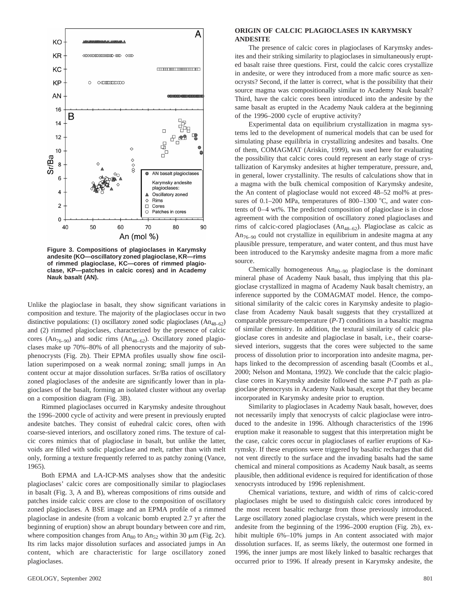

**Figure 3. Compositions of plagioclases in Karymsky andesite (KO—oscillatory zoned plagioclase, KR—rims of rimmed plagioclase, KC—cores of rimmed plagioclase, KP—patches in calcic cores) and in Academy Nauk basalt (AN).**

Unlike the plagioclase in basalt, they show significant variations in composition and texture. The majority of the plagioclases occur in two distinctive populations: (1) oscillatory zoned sodic plagioclases  $(An_{48-62})$ and (2) rimmed plagioclases, characterized by the presence of calcic cores ( $An_{76-90}$ ) and sodic rims ( $An_{48-62}$ ). Oscillatory zoned plagioclases make up 70%–80% of all phenocrysts and the majority of subphenocrysts (Fig. 2b). Their EPMA profiles usually show fine oscillation superimposed on a weak normal zoning; small jumps in An content occur at major dissolution surfaces. Sr/Ba ratios of oscillatory zoned plagioclases of the andesite are significantly lower than in plagioclases of the basalt, forming an isolated cluster without any overlap on a composition diagram (Fig. 3B).

Rimmed plagioclases occurred in Karymsky andesite throughout the 1996–2000 cycle of activity and were present in previously erupted andesite batches. They consist of euhedral calcic cores, often with coarse-sieved interiors, and oscillatory zoned rims. The texture of calcic cores mimics that of plagioclase in basalt, but unlike the latter, voids are filled with sodic plagioclase and melt, rather than with melt only, forming a texture frequently referred to as patchy zoning (Vance, 1965).

Both EPMA and LA-ICP-MS analyses show that the andesitic plagioclases' calcic cores are compositionally similar to plagioclases in basalt (Fig. 3, A and B), whereas compositions of rims outside and patches inside calcic cores are close to the composition of oscillatory zoned plagioclases. A BSE image and an EPMA profile of a rimmed plagioclase in andesite (from a volcanic bomb erupted 2.7 yr after the beginning of eruption) show an abrupt boundary between core and rim, where composition changes from  $An_{80}$  to  $An_{52}$  within 30  $\mu$ m (Fig. 2c). Its rim lacks major dissolution surfaces and associated jumps in An content, which are characteristic for large oscillatory zoned plagioclases.

## **ORIGIN OF CALCIC PLAGIOCLASES IN KARYMSKY ANDESITE**

The presence of calcic cores in plagioclases of Karymsky andesites and their striking similarity to plagioclases in simultaneously erupted basalt raise three questions. First, could the calcic cores crystallize in andesite, or were they introduced from a more mafic source as xenocrysts? Second, if the latter is correct, what is the possibility that their source magma was compositionally similar to Academy Nauk basalt? Third, have the calcic cores been introduced into the andesite by the same basalt as erupted in the Academy Nauk caldera at the beginning of the 1996–2000 cycle of eruptive activity?

Experimental data on equilibrium crystallization in magma systems led to the development of numerical models that can be used for simulating phase equilibria in crystallizing andesites and basalts. One of them, COMAGMAT (Ariskin, 1999), was used here for evaluating the possibility that calcic cores could represent an early stage of crystallization of Karymsky andesites at higher temperature, pressure, and, in general, lower crystallinity. The results of calculations show that in a magma with the bulk chemical composition of Karymsky andesite, the An content of plagioclase would not exceed 48–52 mol% at pressures of  $0.1-200$  MPa, temperatures of  $800-1300$  °C, and water contents of 0–4 wt%. The predicted composition of plagioclase is in close agreement with the composition of oscillatory zoned plagioclases and rims of calcic-cored plagioclases  $(An_{48-62})$ . Plagioclase as calcic as  $An_{76-90}$  could not crystallize in equilibrium in andesite magma at any plausible pressure, temperature, and water content, and thus must have been introduced to the Karymsky andesite magma from a more mafic source.

Chemically homogeneous  $An_{80-90}$  plagioclase is the dominant mineral phase of Academy Nauk basalt, thus implying that this plagioclase crystallized in magma of Academy Nauk basalt chemistry, an inference supported by the COMAGMAT model. Hence, the compositional similarity of the calcic cores in Karymsky andesite to plagioclase from Academy Nauk basalt suggests that they crystallized at comparable pressure-temperature (*P*-*T*) conditions in a basaltic magma of similar chemistry. In addition, the textural similarity of calcic plagioclase cores in andesite and plagioclase in basalt, i.e., their coarsesieved interiors, suggests that the cores were subjected to the same process of dissolution prior to incorporation into andesite magma, perhaps linked to the decompression of ascending basalt (Coombs et al., 2000; Nelson and Montana, 1992). We conclude that the calcic plagioclase cores in Karymsky andesite followed the same *P*-*T* path as plagioclase phenocrysts in Academy Nauk basalt, except that they became incorporated in Karymsky andesite prior to eruption.

Similarity to plagioclases in Academy Nauk basalt, however, does not necessarily imply that xenocrysts of calcic plagioclase were introduced to the andesite in 1996. Although characteristics of the 1996 eruption make it reasonable to suggest that this interpretation might be the case, calcic cores occur in plagioclases of earlier eruptions of Karymsky. If these eruptions were triggered by basaltic recharges that did not vent directly to the surface and the invading basalts had the same chemical and mineral compositions as Academy Nauk basalt, as seems plausible, then additional evidence is required for identification of those xenocrysts introduced by 1996 replenishment.

Chemical variations, texture, and width of rims of calcic-cored plagioclases might be used to distinguish calcic cores introduced by the most recent basaltic recharge from those previously introduced. Large oscillatory zoned plagioclase crystals, which were present in the andesite from the beginning of the 1996–2000 eruption (Fig. 2b), exhibit multiple 6%–10% jumps in An content associated with major dissolution surfaces. If, as seems likely, the outermost one formed in 1996, the inner jumps are most likely linked to basaltic recharges that occurred prior to 1996. If already present in Karymsky andesite, the